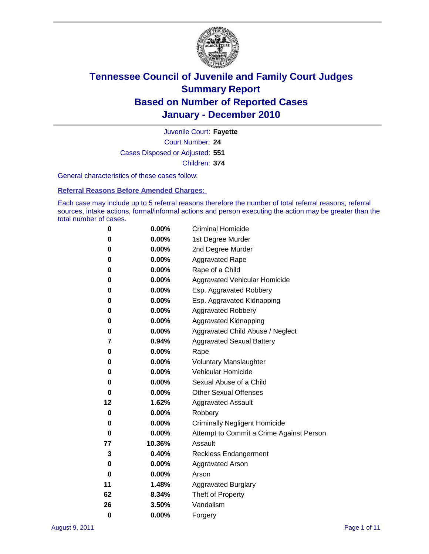

Court Number: **24** Juvenile Court: **Fayette** Cases Disposed or Adjusted: **551** Children: **374**

General characteristics of these cases follow:

**Referral Reasons Before Amended Charges:** 

Each case may include up to 5 referral reasons therefore the number of total referral reasons, referral sources, intake actions, formal/informal actions and person executing the action may be greater than the total number of cases.

| 0  | 0.00%    | <b>Criminal Homicide</b>                 |  |  |
|----|----------|------------------------------------------|--|--|
| 0  | 0.00%    | 1st Degree Murder                        |  |  |
| 0  | 0.00%    | 2nd Degree Murder                        |  |  |
| 0  | 0.00%    | <b>Aggravated Rape</b>                   |  |  |
| 0  | 0.00%    | Rape of a Child                          |  |  |
| 0  | 0.00%    | Aggravated Vehicular Homicide            |  |  |
| 0  | 0.00%    | Esp. Aggravated Robbery                  |  |  |
| 0  | 0.00%    | Esp. Aggravated Kidnapping               |  |  |
| 0  | 0.00%    | <b>Aggravated Robbery</b>                |  |  |
| 0  | 0.00%    | Aggravated Kidnapping                    |  |  |
| 0  | 0.00%    | Aggravated Child Abuse / Neglect         |  |  |
| 7  | 0.94%    | <b>Aggravated Sexual Battery</b>         |  |  |
| 0  | 0.00%    | Rape                                     |  |  |
| 0  | $0.00\%$ | <b>Voluntary Manslaughter</b>            |  |  |
| 0  | 0.00%    | Vehicular Homicide                       |  |  |
| 0  | 0.00%    | Sexual Abuse of a Child                  |  |  |
| 0  | 0.00%    | <b>Other Sexual Offenses</b>             |  |  |
| 12 | 1.62%    | <b>Aggravated Assault</b>                |  |  |
| 0  | 0.00%    | Robbery                                  |  |  |
| 0  | 0.00%    | <b>Criminally Negligent Homicide</b>     |  |  |
| 0  | 0.00%    | Attempt to Commit a Crime Against Person |  |  |
| 77 | 10.36%   | Assault                                  |  |  |
| 3  | 0.40%    | <b>Reckless Endangerment</b>             |  |  |
| 0  | 0.00%    | <b>Aggravated Arson</b>                  |  |  |
| 0  | 0.00%    | Arson                                    |  |  |
| 11 | 1.48%    | <b>Aggravated Burglary</b>               |  |  |
| 62 | 8.34%    | Theft of Property                        |  |  |
| 26 | 3.50%    | Vandalism                                |  |  |
| 0  | 0.00%    | Forgery                                  |  |  |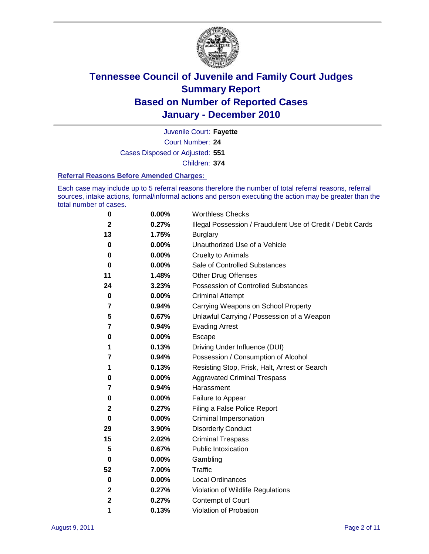

Court Number: **24** Juvenile Court: **Fayette** Cases Disposed or Adjusted: **551** Children: **374**

#### **Referral Reasons Before Amended Charges:**

Each case may include up to 5 referral reasons therefore the number of total referral reasons, referral sources, intake actions, formal/informal actions and person executing the action may be greater than the total number of cases.

| 0            | 0.00% | <b>Worthless Checks</b>                                     |
|--------------|-------|-------------------------------------------------------------|
| $\mathbf{2}$ | 0.27% | Illegal Possession / Fraudulent Use of Credit / Debit Cards |
| 13           | 1.75% | <b>Burglary</b>                                             |
| 0            | 0.00% | Unauthorized Use of a Vehicle                               |
| 0            | 0.00% | <b>Cruelty to Animals</b>                                   |
| 0            | 0.00% | Sale of Controlled Substances                               |
| 11           | 1.48% | <b>Other Drug Offenses</b>                                  |
| 24           | 3.23% | Possession of Controlled Substances                         |
| 0            | 0.00% | <b>Criminal Attempt</b>                                     |
| 7            | 0.94% | Carrying Weapons on School Property                         |
| 5            | 0.67% | Unlawful Carrying / Possession of a Weapon                  |
| 7            | 0.94% | <b>Evading Arrest</b>                                       |
| 0            | 0.00% | Escape                                                      |
| 1            | 0.13% | Driving Under Influence (DUI)                               |
| 7            | 0.94% | Possession / Consumption of Alcohol                         |
| 1            | 0.13% | Resisting Stop, Frisk, Halt, Arrest or Search               |
| 0            | 0.00% | <b>Aggravated Criminal Trespass</b>                         |
| 7            | 0.94% | Harassment                                                  |
| 0            | 0.00% | Failure to Appear                                           |
| 2            | 0.27% | Filing a False Police Report                                |
| 0            | 0.00% | Criminal Impersonation                                      |
| 29           | 3.90% | <b>Disorderly Conduct</b>                                   |
| 15           | 2.02% | <b>Criminal Trespass</b>                                    |
| 5            | 0.67% | <b>Public Intoxication</b>                                  |
| 0            | 0.00% | Gambling                                                    |
| 52           | 7.00% | <b>Traffic</b>                                              |
| 0            | 0.00% | <b>Local Ordinances</b>                                     |
| 2            | 0.27% | Violation of Wildlife Regulations                           |
| 2            | 0.27% | Contempt of Court                                           |
| 1            | 0.13% | Violation of Probation                                      |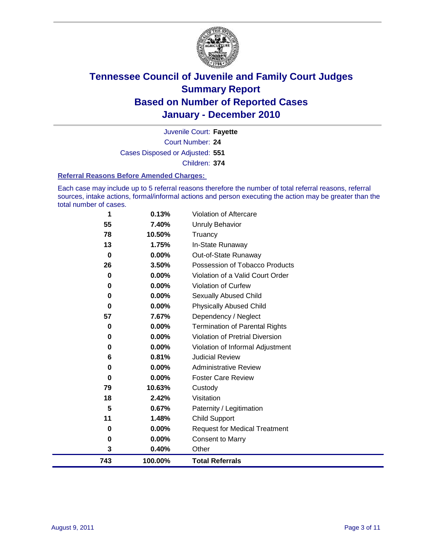

Court Number: **24** Juvenile Court: **Fayette** Cases Disposed or Adjusted: **551** Children: **374**

#### **Referral Reasons Before Amended Charges:**

Each case may include up to 5 referral reasons therefore the number of total referral reasons, referral sources, intake actions, formal/informal actions and person executing the action may be greater than the total number of cases.

| 743      | 100.00%         | <b>Total Referrals</b>                   |
|----------|-----------------|------------------------------------------|
| 3        | 0.40%           | Other                                    |
| 0        | 0.00%           | <b>Consent to Marry</b>                  |
| 0        | 0.00%           | <b>Request for Medical Treatment</b>     |
| 11       | 1.48%           | Child Support                            |
| 5        | 0.67%           | Paternity / Legitimation                 |
| 18       | 2.42%           | Visitation                               |
| 79       | 10.63%          | Custody                                  |
| 0        | $0.00\%$        | <b>Foster Care Review</b>                |
| 0        | 0.00%           | <b>Administrative Review</b>             |
| 6        | 0.81%           | <b>Judicial Review</b>                   |
| 0        | 0.00%           | Violation of Informal Adjustment         |
| 0        | 0.00%           | <b>Violation of Pretrial Diversion</b>   |
| 0        | 0.00%           | <b>Termination of Parental Rights</b>    |
| 57       | 7.67%           | Dependency / Neglect                     |
| $\bf{0}$ | 0.00%           | <b>Physically Abused Child</b>           |
| 0        | 0.00%           | Sexually Abused Child                    |
| 0        | 0.00%           | Violation of Curfew                      |
| 0        | 0.00%           | Violation of a Valid Court Order         |
| 26       | 3.50%           | Possession of Tobacco Products           |
| $\bf{0}$ | 0.00%           | In-State Runaway<br>Out-of-State Runaway |
| 78<br>13 | 10.50%<br>1.75% | Truancy                                  |
| 55       | 7.40%           | Unruly Behavior                          |
| 1        | 0.13%           | Violation of Aftercare                   |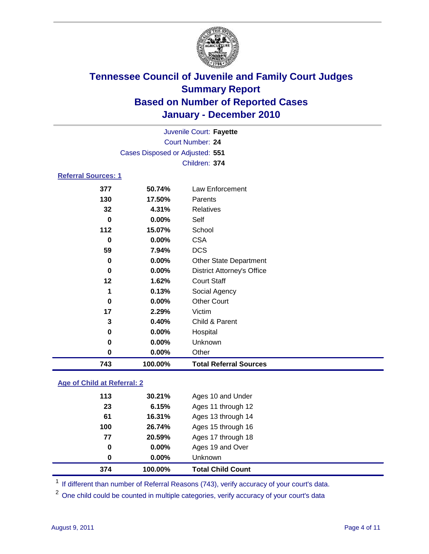

|                            | Juvenile Court: Fayette         |                                   |  |  |
|----------------------------|---------------------------------|-----------------------------------|--|--|
| Court Number: 24           |                                 |                                   |  |  |
|                            | Cases Disposed or Adjusted: 551 |                                   |  |  |
|                            |                                 | Children: 374                     |  |  |
| <b>Referral Sources: 1</b> |                                 |                                   |  |  |
| 377                        | 50.74%                          | <b>Law Enforcement</b>            |  |  |
| 130                        | 17.50%                          | Parents                           |  |  |
| 32                         | 4.31%                           | <b>Relatives</b>                  |  |  |
| $\bf{0}$                   | 0.00%                           | Self                              |  |  |
| 112                        | 15.07%                          | School                            |  |  |
| 0                          | 0.00%                           | <b>CSA</b>                        |  |  |
| 59                         | 7.94%                           | <b>DCS</b>                        |  |  |
| 0                          | 0.00%                           | Other State Department            |  |  |
| 0                          | 0.00%                           | <b>District Attorney's Office</b> |  |  |
| 12                         | 1.62%                           | <b>Court Staff</b>                |  |  |
| 1                          | 0.13%                           | Social Agency                     |  |  |
| 0                          | 0.00%                           | <b>Other Court</b>                |  |  |
| 17                         | 2.29%                           | Victim                            |  |  |
| 3                          | 0.40%                           | Child & Parent                    |  |  |
| 0                          | 0.00%                           | Hospital                          |  |  |
| 0                          | 0.00%                           | Unknown                           |  |  |
| 0                          | 0.00%                           | Other                             |  |  |
| 743                        | 100.00%                         | <b>Total Referral Sources</b>     |  |  |

### **Age of Child at Referral: 2**

| 374 | 100.00%  | <b>Total Child Count</b> |
|-----|----------|--------------------------|
| 0   | 0.00%    | <b>Unknown</b>           |
| 0   | $0.00\%$ | Ages 19 and Over         |
| 77  | 20.59%   | Ages 17 through 18       |
| 100 | 26.74%   | Ages 15 through 16       |
| 61  | 16.31%   | Ages 13 through 14       |
| 23  | 6.15%    | Ages 11 through 12       |
| 113 | 30.21%   | Ages 10 and Under        |
|     |          |                          |

<sup>1</sup> If different than number of Referral Reasons (743), verify accuracy of your court's data.

<sup>2</sup> One child could be counted in multiple categories, verify accuracy of your court's data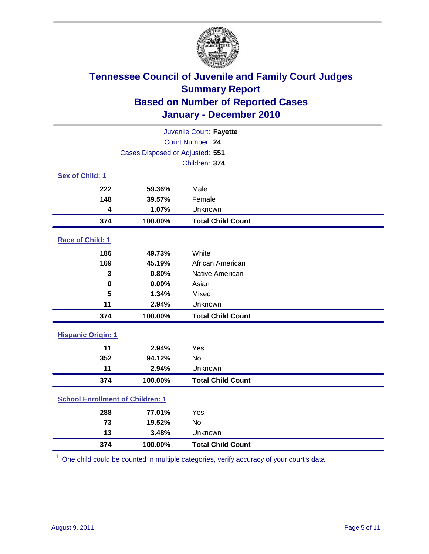

| Juvenile Court: Fayette                 |                                 |                          |  |
|-----------------------------------------|---------------------------------|--------------------------|--|
|                                         | Court Number: 24                |                          |  |
|                                         | Cases Disposed or Adjusted: 551 |                          |  |
|                                         |                                 | Children: 374            |  |
| Sex of Child: 1                         |                                 |                          |  |
| 222                                     | 59.36%                          | Male                     |  |
| 148                                     | 39.57%                          | Female                   |  |
| 4                                       | 1.07%                           | Unknown                  |  |
| 374                                     | 100.00%                         | <b>Total Child Count</b> |  |
| Race of Child: 1                        |                                 |                          |  |
| 186                                     | 49.73%                          | White                    |  |
| 169                                     | 45.19%                          | African American         |  |
| 3                                       | 0.80%                           | Native American          |  |
| $\mathbf 0$                             | 0.00%                           | Asian                    |  |
| 5                                       | 1.34%                           | Mixed                    |  |
| 11                                      | 2.94%                           | Unknown                  |  |
| 374                                     | 100.00%                         | <b>Total Child Count</b> |  |
| <b>Hispanic Origin: 1</b>               |                                 |                          |  |
| 11                                      | 2.94%                           | Yes                      |  |
| 352                                     | 94.12%                          | No                       |  |
| 11                                      | 2.94%                           | Unknown                  |  |
| 374                                     | 100.00%                         | <b>Total Child Count</b> |  |
| <b>School Enrollment of Children: 1</b> |                                 |                          |  |
| 288                                     | 77.01%                          | Yes                      |  |
| 73                                      | 19.52%                          | No                       |  |
| 13                                      | 3.48%                           | Unknown                  |  |
| 374                                     | 100.00%                         | <b>Total Child Count</b> |  |

One child could be counted in multiple categories, verify accuracy of your court's data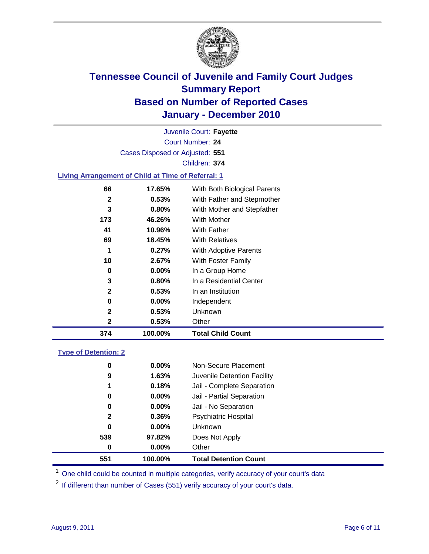

Court Number: **24** Juvenile Court: **Fayette** Cases Disposed or Adjusted: **551** Children: **374**

### **Living Arrangement of Child at Time of Referral: 1**

| 374          | 100.00%  | <b>Total Child Count</b>     |
|--------------|----------|------------------------------|
| 2            | 0.53%    | Other                        |
| $\mathbf{2}$ | 0.53%    | Unknown                      |
| 0            | $0.00\%$ | Independent                  |
| 2            | 0.53%    | In an Institution            |
| 3            | $0.80\%$ | In a Residential Center      |
| 0            | 0.00%    | In a Group Home              |
| 10           | 2.67%    | With Foster Family           |
| 1            | 0.27%    | With Adoptive Parents        |
| 69           | 18.45%   | <b>With Relatives</b>        |
| 41           | 10.96%   | With Father                  |
| 173          | 46.26%   | With Mother                  |
| 3            | 0.80%    | With Mother and Stepfather   |
| 2            | 0.53%    | With Father and Stepmother   |
| 66           | 17.65%   | With Both Biological Parents |
|              |          |                              |

#### **Type of Detention: 2**

| 551          | 100.00%  | <b>Total Detention Count</b> |  |
|--------------|----------|------------------------------|--|
| 0            | 0.00%    | Other                        |  |
| 539          | 97.82%   | Does Not Apply               |  |
| 0            | $0.00\%$ | Unknown                      |  |
| $\mathbf{2}$ | $0.36\%$ | Psychiatric Hospital         |  |
| 0            | 0.00%    | Jail - No Separation         |  |
| 0            | $0.00\%$ | Jail - Partial Separation    |  |
| 1            | 0.18%    | Jail - Complete Separation   |  |
| 9            | 1.63%    | Juvenile Detention Facility  |  |
| 0            | $0.00\%$ | Non-Secure Placement         |  |
|              |          |                              |  |

<sup>1</sup> One child could be counted in multiple categories, verify accuracy of your court's data

<sup>2</sup> If different than number of Cases (551) verify accuracy of your court's data.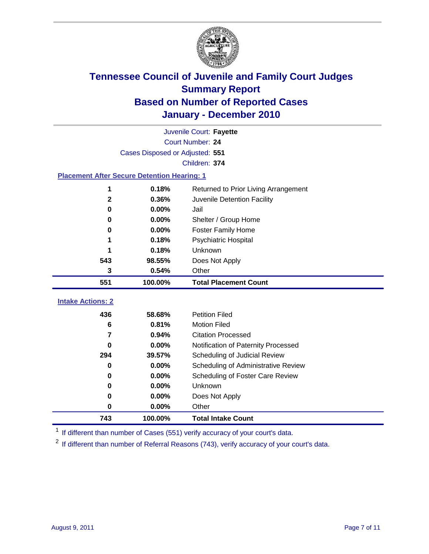

|                                                    | Juvenile Court: Fayette         |                                      |  |  |  |
|----------------------------------------------------|---------------------------------|--------------------------------------|--|--|--|
|                                                    | Court Number: 24                |                                      |  |  |  |
|                                                    | Cases Disposed or Adjusted: 551 |                                      |  |  |  |
|                                                    |                                 | Children: 374                        |  |  |  |
| <b>Placement After Secure Detention Hearing: 1</b> |                                 |                                      |  |  |  |
|                                                    | 0.18%                           | Returned to Prior Living Arrangement |  |  |  |
| $\mathbf{2}$                                       | 0.36%                           | Juvenile Detention Facility          |  |  |  |
| $\bf{0}$                                           | 0.00%                           | Jail                                 |  |  |  |
| 0                                                  | 0.00%                           | Shelter / Group Home                 |  |  |  |
| $\mathbf 0$                                        | 0.00%                           | Foster Family Home                   |  |  |  |
| 1                                                  | 0.18%                           | Psychiatric Hospital                 |  |  |  |
|                                                    | 0.18%                           | Unknown                              |  |  |  |
| 543                                                | 98.55%                          | Does Not Apply                       |  |  |  |
| 3                                                  | 0.54%                           | Other                                |  |  |  |
| 551                                                | 100.00%                         | <b>Total Placement Count</b>         |  |  |  |
| <b>Intake Actions: 2</b>                           |                                 |                                      |  |  |  |
|                                                    |                                 |                                      |  |  |  |
| 436                                                | 58.68%                          | <b>Petition Filed</b>                |  |  |  |
| 6                                                  | 0.81%                           | <b>Motion Filed</b>                  |  |  |  |
| $\overline{7}$                                     | 0.94%                           | <b>Citation Processed</b>            |  |  |  |
| 0                                                  | 0.00%                           | Notification of Paternity Processed  |  |  |  |
| 294                                                | 39.57%                          | Scheduling of Judicial Review        |  |  |  |
| 0                                                  | 0.00%                           | Scheduling of Administrative Review  |  |  |  |
| 0                                                  | 0.00%                           | Scheduling of Foster Care Review     |  |  |  |
| $\bf{0}$                                           | 0.00%                           | <b>Unknown</b>                       |  |  |  |
| 0                                                  | 0.00%                           | Does Not Apply                       |  |  |  |
| 0                                                  | 0.00%                           | Other                                |  |  |  |
| 743                                                | 100.00%                         | <b>Total Intake Count</b>            |  |  |  |

<sup>1</sup> If different than number of Cases (551) verify accuracy of your court's data.

<sup>2</sup> If different than number of Referral Reasons (743), verify accuracy of your court's data.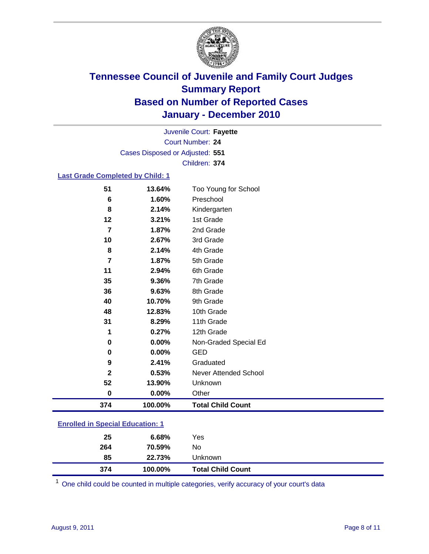

Court Number: **24** Juvenile Court: **Fayette** Cases Disposed or Adjusted: **551** Children: **374**

### **Last Grade Completed by Child: 1**

| 374            | 100.00% | <b>Total Child Count</b>     |
|----------------|---------|------------------------------|
| 0              | 0.00%   | Other                        |
| 52             | 13.90%  | Unknown                      |
| 2              | 0.53%   | <b>Never Attended School</b> |
| 9              | 2.41%   | Graduated                    |
| 0              | 0.00%   | <b>GED</b>                   |
| 0              | 0.00%   | Non-Graded Special Ed        |
| 1              | 0.27%   | 12th Grade                   |
| 31             | 8.29%   | 11th Grade                   |
| 48             | 12.83%  | 10th Grade                   |
| 40             | 10.70%  | 9th Grade                    |
| 36             | 9.63%   | 8th Grade                    |
| 35             | 9.36%   | 7th Grade                    |
| 11             | 2.94%   | 6th Grade                    |
| 7              | 1.87%   | 5th Grade                    |
| 8              | 2.14%   | 4th Grade                    |
| 10             | 2.67%   | 3rd Grade                    |
| 7              | 1.87%   | 2nd Grade                    |
| 12             | 3.21%   | 1st Grade                    |
| 8              | 2.14%   | Kindergarten                 |
| $6\phantom{1}$ | 1.60%   | Preschool                    |
| 51             | 13.64%  | Too Young for School         |

### **Enrolled in Special Education: 1**

| 25  | 6.68%   | Yes                      |
|-----|---------|--------------------------|
| 264 | 70.59%  | No                       |
| 85  | 22.73%  | Unknown                  |
| 374 | 100.00% | <b>Total Child Count</b> |

One child could be counted in multiple categories, verify accuracy of your court's data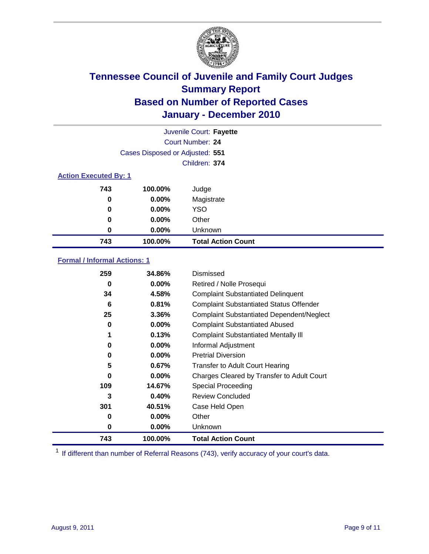

|     |                                 | Juvenile Court: Fayette   |  |  |  |
|-----|---------------------------------|---------------------------|--|--|--|
|     |                                 | Court Number: 24          |  |  |  |
|     | Cases Disposed or Adjusted: 551 |                           |  |  |  |
|     |                                 | Children: 374             |  |  |  |
|     | <b>Action Executed By: 1</b>    |                           |  |  |  |
| 743 | 100.00%                         | Judge                     |  |  |  |
| 0   | $0.00\%$                        | Magistrate                |  |  |  |
| 0   | $0.00\%$                        | <b>YSO</b>                |  |  |  |
| 0   | 0.00%                           | Other                     |  |  |  |
| 0   | 0.00%                           | Unknown                   |  |  |  |
| 743 | 100.00%                         | <b>Total Action Count</b> |  |  |  |

### **Formal / Informal Actions: 1**

| 259 | 34.86%   | Dismissed                                        |
|-----|----------|--------------------------------------------------|
| 0   | $0.00\%$ | Retired / Nolle Prosequi                         |
| 34  | 4.58%    | <b>Complaint Substantiated Delinquent</b>        |
| 6   | 0.81%    | <b>Complaint Substantiated Status Offender</b>   |
| 25  | 3.36%    | <b>Complaint Substantiated Dependent/Neglect</b> |
| 0   | 0.00%    | <b>Complaint Substantiated Abused</b>            |
| 1   | 0.13%    | <b>Complaint Substantiated Mentally III</b>      |
| 0   | $0.00\%$ | Informal Adjustment                              |
| 0   | $0.00\%$ | <b>Pretrial Diversion</b>                        |
| 5   | 0.67%    | <b>Transfer to Adult Court Hearing</b>           |
| 0   | $0.00\%$ | Charges Cleared by Transfer to Adult Court       |
| 109 | 14.67%   | Special Proceeding                               |
| 3   | 0.40%    | <b>Review Concluded</b>                          |
| 301 | 40.51%   | Case Held Open                                   |
| 0   | $0.00\%$ | Other                                            |
| 0   | $0.00\%$ | <b>Unknown</b>                                   |
| 743 | 100.00%  | <b>Total Action Count</b>                        |

<sup>1</sup> If different than number of Referral Reasons (743), verify accuracy of your court's data.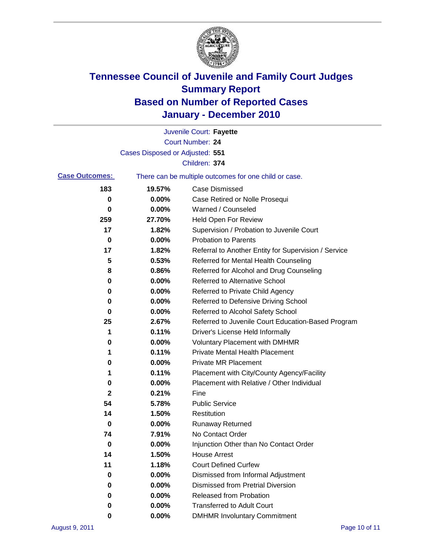

|                       |                                 | Juvenile Court: Fayette                               |
|-----------------------|---------------------------------|-------------------------------------------------------|
|                       |                                 | <b>Court Number: 24</b>                               |
|                       | Cases Disposed or Adjusted: 551 |                                                       |
|                       |                                 | Children: 374                                         |
| <b>Case Outcomes:</b> |                                 | There can be multiple outcomes for one child or case. |
| 183                   | 19.57%                          | <b>Case Dismissed</b>                                 |
| 0                     | 0.00%                           | Case Retired or Nolle Prosequi                        |
| 0                     | 0.00%                           | Warned / Counseled                                    |
| 259                   | 27.70%                          | Held Open For Review                                  |
| 17                    | 1.82%                           | Supervision / Probation to Juvenile Court             |
| 0                     | 0.00%                           | <b>Probation to Parents</b>                           |
| 17                    | 1.82%                           | Referral to Another Entity for Supervision / Service  |
| 5                     | 0.53%                           | Referred for Mental Health Counseling                 |
| 8                     | 0.86%                           | Referred for Alcohol and Drug Counseling              |
| 0                     | 0.00%                           | <b>Referred to Alternative School</b>                 |
| 0                     | 0.00%                           | Referred to Private Child Agency                      |
| 0                     | 0.00%                           | Referred to Defensive Driving School                  |
| 0                     | 0.00%                           | Referred to Alcohol Safety School                     |
| 25                    | 2.67%                           | Referred to Juvenile Court Education-Based Program    |
| 1                     | 0.11%                           | Driver's License Held Informally                      |
| 0                     | 0.00%                           | <b>Voluntary Placement with DMHMR</b>                 |
| 1                     | 0.11%                           | <b>Private Mental Health Placement</b>                |
| 0                     | 0.00%                           | <b>Private MR Placement</b>                           |
| 1                     | 0.11%                           | Placement with City/County Agency/Facility            |
| 0                     | 0.00%                           | Placement with Relative / Other Individual            |
| $\mathbf{2}$          | 0.21%                           | Fine                                                  |
| 54                    | 5.78%                           | <b>Public Service</b>                                 |
| 14                    | 1.50%                           | Restitution                                           |
| 0                     | 0.00%                           | <b>Runaway Returned</b>                               |
| 74                    | 7.91%                           | No Contact Order                                      |
| $\pmb{0}$             | 0.00%                           | Injunction Other than No Contact Order                |
| 14                    | 1.50%                           | <b>House Arrest</b>                                   |
| 11                    | 1.18%                           | <b>Court Defined Curfew</b>                           |
| 0                     | 0.00%                           | Dismissed from Informal Adjustment                    |
| 0                     | $0.00\%$                        | <b>Dismissed from Pretrial Diversion</b>              |
| 0                     | 0.00%                           | Released from Probation                               |
| 0                     | 0.00%                           | <b>Transferred to Adult Court</b>                     |
| 0                     | 0.00%                           | <b>DMHMR Involuntary Commitment</b>                   |